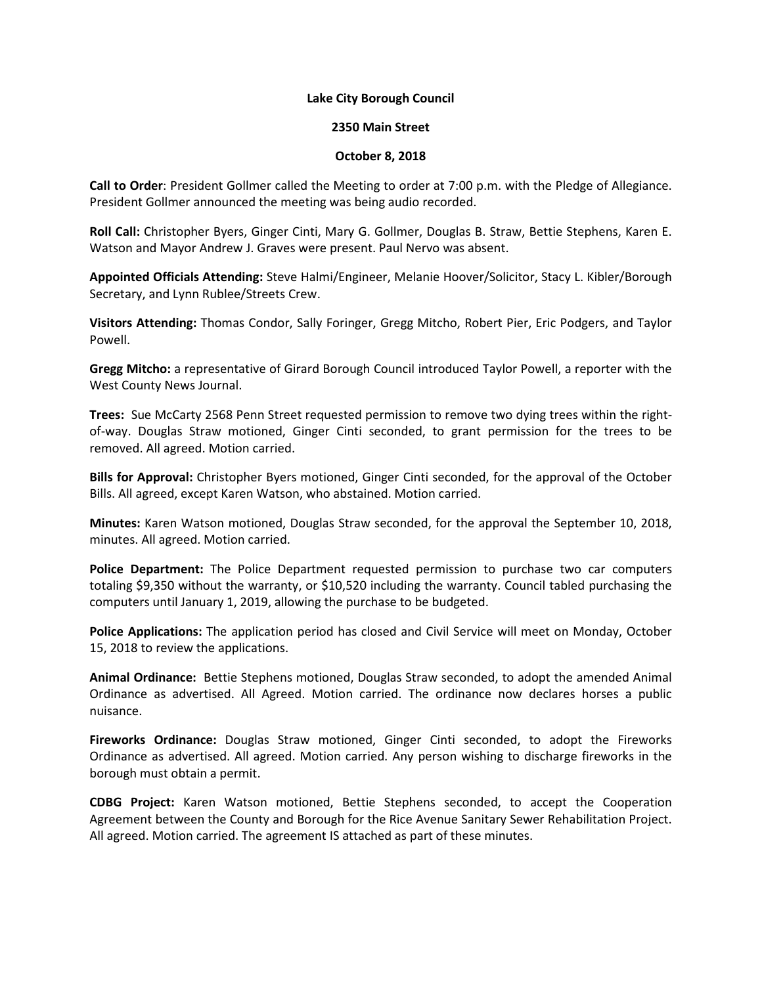## **Lake City Borough Council**

## **2350 Main Street**

## **October 8, 2018**

**Call to Order**: President Gollmer called the Meeting to order at 7:00 p.m. with the Pledge of Allegiance. President Gollmer announced the meeting was being audio recorded.

**Roll Call:** Christopher Byers, Ginger Cinti, Mary G. Gollmer, Douglas B. Straw, Bettie Stephens, Karen E. Watson and Mayor Andrew J. Graves were present. Paul Nervo was absent.

**Appointed Officials Attending:** Steve Halmi/Engineer, Melanie Hoover/Solicitor, Stacy L. Kibler/Borough Secretary, and Lynn Rublee/Streets Crew.

**Visitors Attending:** Thomas Condor, Sally Foringer, Gregg Mitcho, Robert Pier, Eric Podgers, and Taylor Powell.

**Gregg Mitcho:** a representative of Girard Borough Council introduced Taylor Powell, a reporter with the West County News Journal.

**Trees:** Sue McCarty 2568 Penn Street requested permission to remove two dying trees within the rightof-way. Douglas Straw motioned, Ginger Cinti seconded, to grant permission for the trees to be removed. All agreed. Motion carried.

**Bills for Approval:** Christopher Byers motioned, Ginger Cinti seconded, for the approval of the October Bills. All agreed, except Karen Watson, who abstained. Motion carried.

**Minutes:** Karen Watson motioned, Douglas Straw seconded, for the approval the September 10, 2018, minutes. All agreed. Motion carried.

**Police Department:** The Police Department requested permission to purchase two car computers totaling \$9,350 without the warranty, or \$10,520 including the warranty. Council tabled purchasing the computers until January 1, 2019, allowing the purchase to be budgeted.

**Police Applications:** The application period has closed and Civil Service will meet on Monday, October 15, 2018 to review the applications.

**Animal Ordinance:** Bettie Stephens motioned, Douglas Straw seconded, to adopt the amended Animal Ordinance as advertised. All Agreed. Motion carried. The ordinance now declares horses a public nuisance.

**Fireworks Ordinance:** Douglas Straw motioned, Ginger Cinti seconded, to adopt the Fireworks Ordinance as advertised. All agreed. Motion carried. Any person wishing to discharge fireworks in the borough must obtain a permit.

**CDBG Project:** Karen Watson motioned, Bettie Stephens seconded, to accept the Cooperation Agreement between the County and Borough for the Rice Avenue Sanitary Sewer Rehabilitation Project. All agreed. Motion carried. The agreement IS attached as part of these minutes.